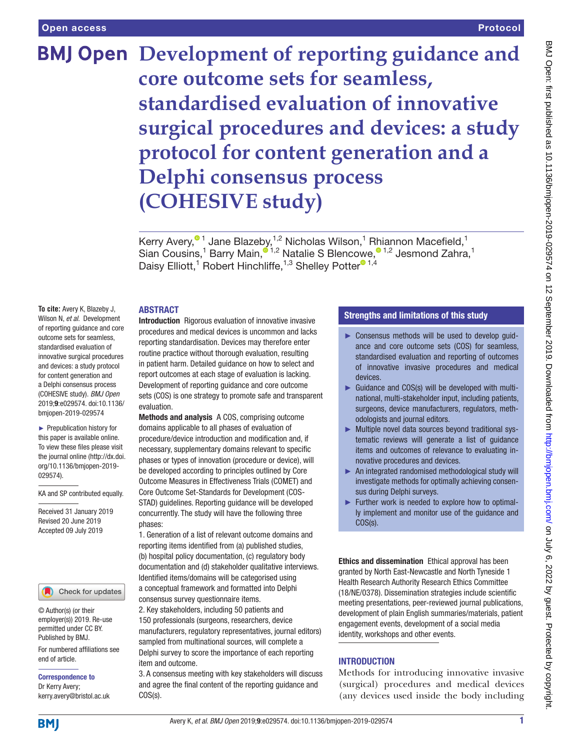# **BMJ Open** Development of reporting guidance and **core outcome sets for seamless, standardised evaluation of innovative surgical procedures and devices: a study protocol for content generation and a Delphi consensus process (COHESIVE study)**

Kerry Avery,<sup>® 1</sup> Jane Blazeby,<sup>1,2</sup> Nicholas Wilson,<sup>1</sup> Rhiannon Macefield,<sup>1</sup> Sian Cousins[,](http://orcid.org/0000-0003-0622-805X)<sup>1</sup> Barry Main,<sup>® 1,2</sup> Natalie S Blencowe,<sup>® 1,2</sup> Jesmond Zahra,<sup>1</sup> Daisy Elliott,<sup>1</sup> Robe[r](http://orcid.org/0000-0002-6977-312X)t Hinchliffe,<sup>1,3</sup> Shelley Potter<sup>® 1,[4](http://orcid.org/0000-0002-6111-2175)</sup>

#### **ABSTRACT**

**To cite:** Avery K, Blazeby J, Wilson N, *et al*. Development of reporting guidance and core outcome sets for seamless, standardised evaluation of innovative surgical procedures and devices: a study protocol for content generation and a Delphi consensus process (COHESIVE study). *BMJ Open* 2019;9:e029574. doi:10.1136/ bmjopen-2019-029574

► Prepublication history for this paper is available online. To view these files please visit the journal online (http://dx.doi. org/10.1136/bmjopen-2019- 029574).

KA and SP contributed equally.

Received 31 January 2019 Revised 20 June 2019 Accepted 09 July 2019

#### Check for updates

© Author(s) (or their employer(s)) 2019. Re-use permitted under CC BY. Published by BMJ.

For numbered affiliations see end of article.

Correspondence to Dr Kerry Avery; kerry.avery@bristol.ac.uk Introduction Rigorous evaluation of innovative invasive procedures and medical devices is uncommon and lacks reporting standardisation. Devices may therefore enter routine practice without thorough evaluation, resulting in patient harm. Detailed guidance on how to select and report outcomes at each stage of evaluation is lacking. Development of reporting guidance and core outcome sets (COS) is one strategy to promote safe and transparent evaluation.

Methods and analysis A COS, comprising outcome domains applicable to all phases of evaluation of procedure/device introduction and modification and, if necessary, supplementary domains relevant to specific phases or types of innovation (procedure or device), will be developed according to principles outlined by Core Outcome Measures in Effectiveness Trials (COMET) and Core Outcome Set-Standards for Development (COS-STAD) guidelines. Reporting guidance will be developed concurrently. The study will have the following three phases:

1. Generation of a list of relevant outcome domains and reporting items identified from (a) published studies, (b) hospital policy documentation, (c) regulatory body documentation and (d) stakeholder qualitative interviews. Identified items/domains will be categorised using a conceptual framework and formatted into Delphi consensus survey questionnaire items.

2. Key stakeholders, including 50 patients and 150 professionals (surgeons, researchers, device manufacturers, regulatory representatives, journal editors) sampled from multinational sources, will complete a Delphi survey to score the importance of each reporting item and outcome.

3. A consensus meeting with key stakeholders will discuss and agree the final content of the reporting guidance and COS(s).

# Strengths and limitations of this study

- ► Consensus methods will be used to develop guidance and core outcome sets (COS) for seamless, standardised evaluation and reporting of outcomes of innovative invasive procedures and medical devices.
- ► Guidance and COS(s) will be developed with multinational, multi-stakeholder input, including patients, surgeons, device manufacturers, regulators, methodologists and journal editors.
- ► Multiple novel data sources beyond traditional systematic reviews will generate a list of guidance items and outcomes of relevance to evaluating innovative procedures and devices.
- ► An integrated randomised methodological study will investigate methods for optimally achieving consensus during Delphi surveys.
- ► Further work is needed to explore how to optimally implement and monitor use of the guidance and COS(s).

Ethics and dissemination Ethical approval has been granted by North East-Newcastle and North Tyneside 1 Health Research Authority Research Ethics Committee (18/NE/0378). Dissemination strategies include scientific meeting presentations, peer-reviewed journal publications, development of plain English summaries/materials, patient engagement events, development of a social media identity, workshops and other events.

# **INTRODUCTION**

Methods for introducing innovative invasive (surgical) procedures and medical devices (any devices used inside the body including

**BMI**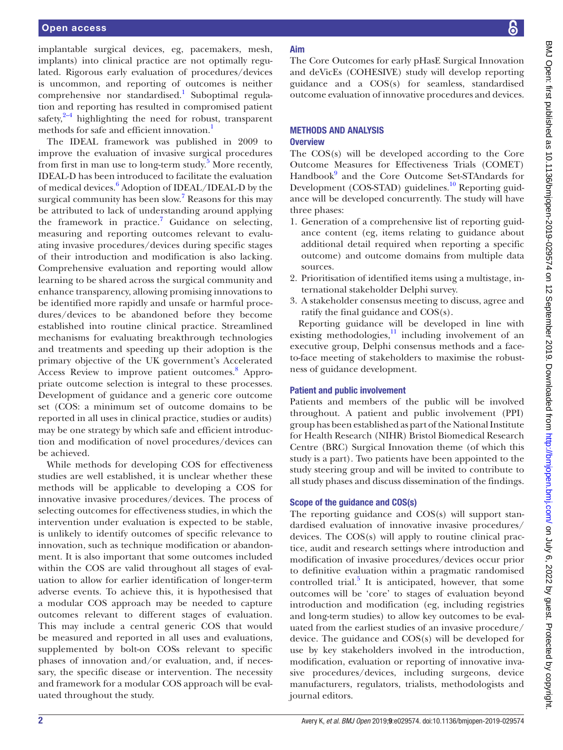implantable surgical devices, eg, pacemakers, mesh, implants) into clinical practice are not optimally regulated. Rigorous early evaluation of procedures/devices is uncommon, and reporting of outcomes is neither comprehensive nor standardised.<sup>1</sup> Suboptimal regulation and reporting has resulted in compromised patient safety, $2-4$  highlighting the need for robust, transparent methods for safe and efficient innovation.<sup>[1](#page-6-0)</sup>

The IDEAL framework was published in 2009 to improve the evaluation of invasive surgical procedures from first in man use to long-term study.<sup>[5](#page-6-2)</sup> More recently, IDEAL-D has been introduced to facilitate the evaluation of medical devices.<sup>[6](#page-6-3)</sup> Adoption of IDEAL/IDEAL-D by the surgical community has been slow.<sup>[7](#page-6-4)</sup> Reasons for this may be attributed to lack of understanding around applying the framework in practice.<sup>[7](#page-6-4)</sup> Guidance on selecting, measuring and reporting outcomes relevant to evaluating invasive procedures/devices during specific stages of their introduction and modification is also lacking. Comprehensive evaluation and reporting would allow learning to be shared across the surgical community and enhance transparency, allowing promising innovations to be identified more rapidly and unsafe or harmful procedures/devices to be abandoned before they become established into routine clinical practice. Streamlined mechanisms for evaluating breakthrough technologies and treatments and speeding up their adoption is the primary objective of the UK government's Accelerated Access Review to improve patient outcomes.<sup>[8](#page-6-5)</sup> Appropriate outcome selection is integral to these processes. Development of guidance and a generic core outcome set (COS: a minimum set of outcome domains to be reported in all uses in clinical practice, studies or audits) may be one strategy by which safe and efficient introduction and modification of novel procedures/devices can be achieved.

While methods for developing COS for effectiveness studies are well established, it is unclear whether these methods will be applicable to developing a COS for innovative invasive procedures/devices. The process of selecting outcomes for effectiveness studies, in which the intervention under evaluation is expected to be stable, is unlikely to identify outcomes of specific relevance to innovation, such as technique modification or abandonment. It is also important that some outcomes included within the COS are valid throughout all stages of evaluation to allow for earlier identification of longer-term adverse events. To achieve this, it is hypothesised that a modular COS approach may be needed to capture outcomes relevant to different stages of evaluation. This may include a central generic COS that would be measured and reported in all uses and evaluations, supplemented by bolt-on COSs relevant to specific phases of innovation and/or evaluation, and, if necessary, the specific disease or intervention. The necessity and framework for a modular COS approach will be evaluated throughout the study.

# Aim

The Core Outcomes for early pHasE Surgical Innovation and deVicEs (COHESIVE) study will develop reporting guidance and a COS(s) for seamless, standardised outcome evaluation of innovative procedures and devices.

### Methods and analysis **Overview**

The COS(s) will be developed according to the Core Outcome Measures for Effectiveness Trials (COMET) Handbook<sup>[9](#page-6-6)</sup> and the Core Outcome Set-STAndards for Development (COS-STAD) guidelines.<sup>10</sup> Reporting guidance will be developed concurrently. The study will have three phases:

- 1. Generation of a comprehensive list of reporting guidance content (eg, items relating to guidance about additional detail required when reporting a specific outcome) and outcome domains from multiple data sources.
- 2. Prioritisation of identified items using a multistage, international stakeholder Delphi survey.
- 3. A stakeholder consensus meeting to discuss, agree and ratify the final guidance and COS(s).

Reporting guidance will be developed in line with existing methodologies, $\frac{11}{11}$  including involvement of an executive group, Delphi consensus methods and a faceto-face meeting of stakeholders to maximise the robustness of guidance development.

# Patient and public involvement

Patients and members of the public will be involved throughout. A patient and public involvement (PPI) group has been established as part of the National Institute for Health Research (NIHR) Bristol Biomedical Research Centre (BRC) Surgical Innovation theme (of which this study is a part). Two patients have been appointed to the study steering group and will be invited to contribute to all study phases and discuss dissemination of the findings.

# Scope of the guidance and COS(s)

The reporting guidance and COS(s) will support standardised evaluation of innovative invasive procedures/ devices. The COS(s) will apply to routine clinical practice, audit and research settings where introduction and modification of invasive procedures/devices occur prior to definitive evaluation within a pragmatic randomised controlled trial. $5$  It is anticipated, however, that some outcomes will be 'core' to stages of evaluation beyond introduction and modification (eg, including registries and long-term studies) to allow key outcomes to be evaluated from the earliest studies of an invasive procedure/ device. The guidance and COS(s) will be developed for use by key stakeholders involved in the introduction, modification, evaluation or reporting of innovative invasive procedures/devices, including surgeons, device manufacturers, regulators, trialists, methodologists and journal editors.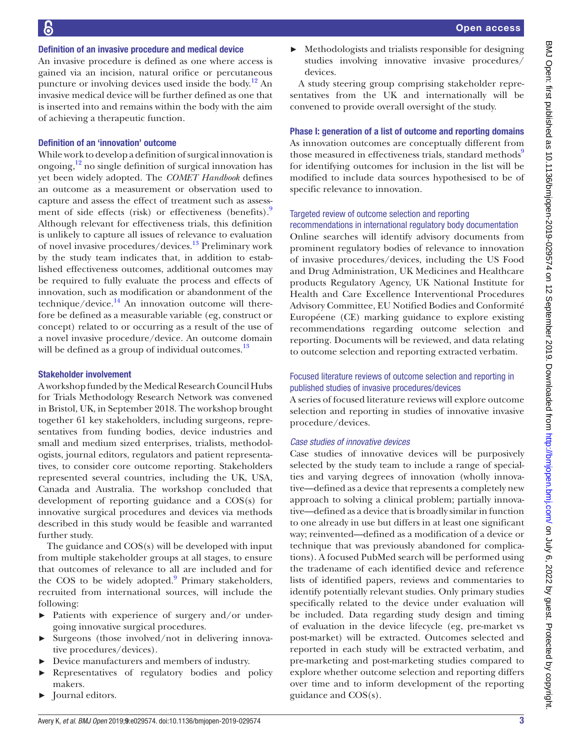#### Definition of an invasive procedure and medical device

An invasive procedure is defined as one where access is gained via an incision, natural orifice or percutaneous puncture or involving devices used inside the body.<sup>12</sup> An invasive medical device will be further defined as one that is inserted into and remains within the body with the aim of achieving a therapeutic function.

#### Definition of an 'innovation' outcome

While work to develop a definition of surgical innovation is ongoing, $\frac{12}{2}$  $\frac{12}{2}$  $\frac{12}{2}$  no single definition of surgical innovation has yet been widely adopted. The *COMET Handbook* defines an outcome as a measurement or observation used to capture and assess the effect of treatment such as assess-ment of side effects (risk) or effectiveness (benefits).<sup>[9](#page-6-6)</sup> Although relevant for effectiveness trials, this definition is unlikely to capture all issues of relevance to evaluation of novel invasive procedures/devices.[13](#page-6-10) Preliminary work by the study team indicates that, in addition to established effectiveness outcomes, additional outcomes may be required to fully evaluate the process and effects of innovation, such as modification or abandonment of the technique/device. $^{14}$  An innovation outcome will therefore be defined as a measurable variable (eg, construct or concept) related to or occurring as a result of the use of a novel invasive procedure/device. An outcome domain will be defined as a group of individual outcomes.<sup>[13](#page-6-10)</sup>

#### Stakeholder involvement

A workshop funded by the Medical Research Council Hubs for Trials Methodology Research Network was convened in Bristol, UK, in September 2018. The workshop brought together 61 key stakeholders, including surgeons, representatives from funding bodies, device industries and small and medium sized enterprises, trialists, methodologists, journal editors, regulators and patient representatives, to consider core outcome reporting. Stakeholders represented several countries, including the UK, USA, Canada and Australia. The workshop concluded that development of reporting guidance and a COS(s) for innovative surgical procedures and devices via methods described in this study would be feasible and warranted further study.

The guidance and COS(s) will be developed with input from multiple stakeholder groups at all stages, to ensure that outcomes of relevance to all are included and for the COS to be widely adopted. $9$  Primary stakeholders, recruited from international sources, will include the following:

- ► Patients with experience of surgery and/or undergoing innovative surgical procedures.
- ► Surgeons (those involved/not in delivering innovative procedures/devices).
- ► Device manufacturers and members of industry.
- Representatives of regulatory bodies and policy makers.
- ► Journal editors.

Methodologists and trialists responsible for designing studies involving innovative invasive procedures/ devices.

A study steering group comprising stakeholder representatives from the UK and internationally will be convened to provide overall oversight of the study.

#### Phase I: generation of a list of outcome and reporting domains

As innovation outcomes are conceptually different from those measured in effectiveness trials, standard methods<sup>9</sup> for identifying outcomes for inclusion in the list will be modified to include data sources hypothesised to be of specific relevance to innovation.

#### Targeted review of outcome selection and reporting recommendations in international regulatory body documentation

Online searches will identify advisory documents from prominent regulatory bodies of relevance to innovation of invasive procedures/devices, including the US Food and Drug Administration, UK Medicines and Healthcare products Regulatory Agency, UK National Institute for Health and Care Excellence Interventional Procedures Advisory Committee, EU Notified Bodies and Conformité Européene (CE) marking guidance to explore existing recommendations regarding outcome selection and reporting. Documents will be reviewed, and data relating to outcome selection and reporting extracted verbatim.

# Focused literature reviews of outcome selection and reporting in published studies of invasive procedures/devices

A series of focused literature reviews will explore outcome selection and reporting in studies of innovative invasive procedure/devices.

#### *Case studies of innovative devices*

Case studies of innovative devices will be purposively selected by the study team to include a range of specialties and varying degrees of innovation (wholly innovative—defined as a device that represents a completely new approach to solving a clinical problem; partially innovative—defined as a device that is broadly similar in function to one already in use but differs in at least one significant way; reinvented—defined as a modification of a device or technique that was previously abandoned for complications). A focused PubMed search will be performed using the tradename of each identified device and reference lists of identified papers, reviews and commentaries to identify potentially relevant studies. Only primary studies specifically related to the device under evaluation will be included. Data regarding study design and timing of evaluation in the device lifecycle (eg, pre-market vs post-market) will be extracted. Outcomes selected and reported in each study will be extracted verbatim, and pre-marketing and post-marketing studies compared to explore whether outcome selection and reporting differs over time and to inform development of the reporting guidance and COS(s).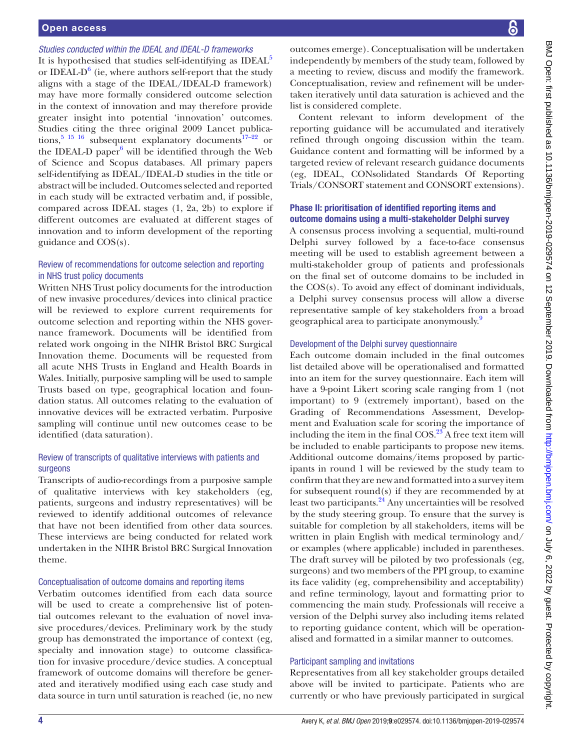### Open access

# *Studies conducted within the IDEAL and IDEAL-D frameworks*

It is hypothesised that studies self-identifying as IDEAL<sup>[5](#page-6-2)</sup> or IDEAL- $D^6$  $D^6$  (ie, where authors self-report that the study aligns with a stage of the IDEAL/IDEAL-D framework) may have more formally considered outcome selection in the context of innovation and may therefore provide greater insight into potential 'innovation' outcomes. Studies citing the three original 2009 Lancet publica-tions,<sup>[5 15 16](#page-6-2)</sup> subsequent explanatory documents<sup>17-22</sup> or the IDEAL-D paper<sup>[6](#page-6-3)</sup> will be identified through the Web of Science and Scopus databases. All primary papers self-identifying as IDEAL/IDEAL-D studies in the title or abstract will be included. Outcomes selected and reported in each study will be extracted verbatim and, if possible, compared across IDEAL stages (1, 2a, 2b) to explore if different outcomes are evaluated at different stages of innovation and to inform development of the reporting guidance and COS(s).

# Review of recommendations for outcome selection and reporting in NHS trust policy documents

Written NHS Trust policy documents for the introduction of new invasive procedures/devices into clinical practice will be reviewed to explore current requirements for outcome selection and reporting within the NHS governance framework. Documents will be identified from related work ongoing in the NIHR Bristol BRC Surgical Innovation theme. Documents will be requested from all acute NHS Trusts in England and Health Boards in Wales. Initially, purposive sampling will be used to sample Trusts based on type, geographical location and foundation status. All outcomes relating to the evaluation of innovative devices will be extracted verbatim. Purposive sampling will continue until new outcomes cease to be identified (data saturation).

## Review of transcripts of qualitative interviews with patients and surgeons

Transcripts of audio-recordings from a purposive sample of qualitative interviews with key stakeholders (eg, patients, surgeons and industry representatives) will be reviewed to identify additional outcomes of relevance that have not been identified from other data sources. These interviews are being conducted for related work undertaken in the NIHR Bristol BRC Surgical Innovation theme.

#### Conceptualisation of outcome domains and reporting items

Verbatim outcomes identified from each data source will be used to create a comprehensive list of potential outcomes relevant to the evaluation of novel invasive procedures/devices. Preliminary work by the study group has demonstrated the importance of context (eg, specialty and innovation stage) to outcome classification for invasive procedure/device studies. A conceptual framework of outcome domains will therefore be generated and iteratively modified using each case study and data source in turn until saturation is reached (ie, no new

reporting guidance will be accumulated and iteratively refined through ongoing discussion within the team. Guidance content and formatting will be informed by a targeted review of relevant research guidance documents (eg, IDEAL, CONsolidated Standards Of Reporting Trials/CONSORT statement and CONSORT extensions).

# Phase II: prioritisation of identified reporting items and outcome domains using a multi-stakeholder Delphi survey

A consensus process involving a sequential, multi-round Delphi survey followed by a face-to-face consensus meeting will be used to establish agreement between a multi-stakeholder group of patients and professionals on the final set of outcome domains to be included in the COS(s). To avoid any effect of dominant individuals, a Delphi survey consensus process will allow a diverse representative sample of key stakeholders from a broad geographical area to participate anonymously.<sup>9</sup>

# Development of the Delphi survey questionnaire

Each outcome domain included in the final outcomes list detailed above will be operationalised and formatted into an item for the survey questionnaire. Each item will have a 9-point Likert scoring scale ranging from 1 (not important) to 9 (extremely important), based on the Grading of Recommendations Assessment, Development and Evaluation scale for scoring the importance of including the item in the final  $COS<sup>23</sup>$  A free text item will be included to enable participants to propose new items. Additional outcome domains/items proposed by participants in round 1 will be reviewed by the study team to confirm that they are new and formatted into a survey item for subsequent round(s) if they are recommended by at least two participants.<sup>[24](#page-6-14)</sup> Any uncertainties will be resolved by the study steering group. To ensure that the survey is suitable for completion by all stakeholders, items will be written in plain English with medical terminology and/ or examples (where applicable) included in parentheses. The draft survey will be piloted by two professionals (eg, surgeons) and two members of the PPI group, to examine its face validity (eg, comprehensibility and acceptability) and refine terminology, layout and formatting prior to commencing the main study. Professionals will receive a version of the Delphi survey also including items related to reporting guidance content, which will be operationalised and formatted in a similar manner to outcomes.

# Participant sampling and invitations

Representatives from all key stakeholder groups detailed above will be invited to participate. Patients who are currently or who have previously participated in surgical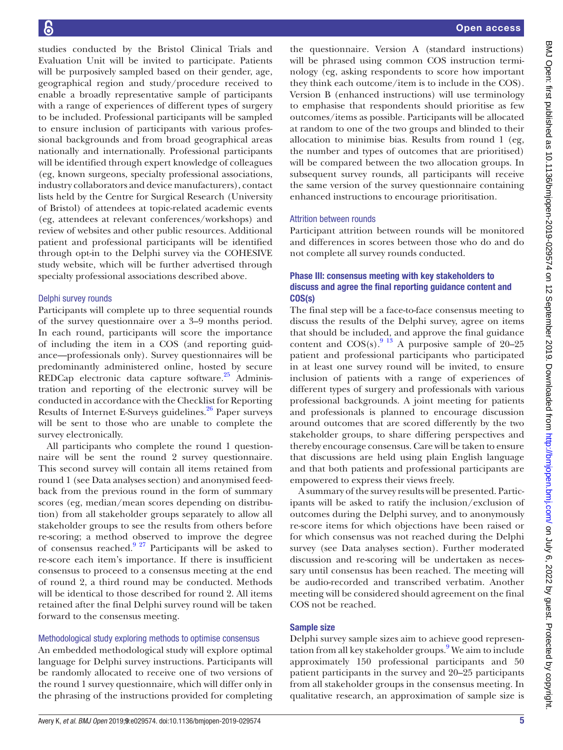studies conducted by the Bristol Clinical Trials and Evaluation Unit will be invited to participate. Patients will be purposively sampled based on their gender, age, geographical region and study/procedure received to enable a broadly representative sample of participants with a range of experiences of different types of surgery to be included. Professional participants will be sampled to ensure inclusion of participants with various professional backgrounds and from broad geographical areas nationally and internationally. Professional participants will be identified through expert knowledge of colleagues (eg, known surgeons, specialty professional associations, industry collaborators and device manufacturers), contact lists held by the Centre for Surgical Research (University of Bristol) of attendees at topic-related academic events (eg, attendees at relevant conferences/workshops) and review of websites and other public resources. Additional patient and professional participants will be identified through opt-in to the Delphi survey via the COHESIVE study website, which will be further advertised through specialty professional associations described above.

# Delphi survey rounds

Participants will complete up to three sequential rounds of the survey questionnaire over a 3–9 months period. In each round, participants will score the importance of including the item in a COS (and reporting guidance—professionals only). Survey questionnaires will be predominantly administered online, hosted by secure REDCap electronic data capture software.<sup>25</sup> Administration and reporting of the electronic survey will be conducted in accordance with the Checklist for Reporting Results of Internet E-Surveys guidelines.<sup>26</sup> Paper surveys will be sent to those who are unable to complete the survey electronically.

All participants who complete the round 1 questionnaire will be sent the round 2 survey questionnaire. This second survey will contain all items retained from round 1 (see Data analyses section) and anonymised feedback from the previous round in the form of summary scores (eg, median/mean scores depending on distribution) from all stakeholder groups separately to allow all stakeholder groups to see the results from others before re-scoring; a method observed to improve the degree of consensus reached.[9 27](#page-6-6) Participants will be asked to re-score each item's importance. If there is insufficient consensus to proceed to a consensus meeting at the end of round 2, a third round may be conducted. Methods will be identical to those described for round 2. All items retained after the final Delphi survey round will be taken forward to the consensus meeting.

# Methodological study exploring methods to optimise consensus

An embedded methodological study will explore optimal language for Delphi survey instructions. Participants will be randomly allocated to receive one of two versions of the round 1 survey questionnaire, which will differ only in the phrasing of the instructions provided for completing

the questionnaire. Version A (standard instructions) will be phrased using common COS instruction terminology (eg, asking respondents to score how important they think each outcome/item is to include in the COS). Version B (enhanced instructions) will use terminology to emphasise that respondents should prioritise as few outcomes/items as possible. Participants will be allocated at random to one of the two groups and blinded to their allocation to minimise bias. Results from round 1 (eg, the number and types of outcomes that are prioritised) will be compared between the two allocation groups. In subsequent survey rounds, all participants will receive the same version of the survey questionnaire containing enhanced instructions to encourage prioritisation.

# Attrition between rounds

Participant attrition between rounds will be monitored and differences in scores between those who do and do not complete all survey rounds conducted.

# Phase III: consensus meeting with key stakeholders to discuss and agree the final reporting guidance content and COS(s)

The final step will be a face-to-face consensus meeting to discuss the results of the Delphi survey, agree on items that should be included, and approve the final guidance content and  $COS(s)$ .<sup>9</sup> <sup>13</sup> A purposive sample of 20–25 patient and professional participants who participated in at least one survey round will be invited, to ensure inclusion of patients with a range of experiences of different types of surgery and professionals with various professional backgrounds. A joint meeting for patients and professionals is planned to encourage discussion around outcomes that are scored differently by the two stakeholder groups, to share differing perspectives and thereby encourage consensus. Care will be taken to ensure that discussions are held using plain English language and that both patients and professional participants are empowered to express their views freely.

A summary of the survey results will be presented. Participants will be asked to ratify the inclusion/exclusion of outcomes during the Delphi survey, and to anonymously re-score items for which objections have been raised or for which consensus was not reached during the Delphi survey (see Data analyses section). Further moderated discussion and re-scoring will be undertaken as necessary until consensus has been reached. The meeting will be audio-recorded and transcribed verbatim. Another meeting will be considered should agreement on the final COS not be reached.

# Sample size

Delphi survey sample sizes aim to achieve good represen-tation from all key stakeholder groups.<sup>[9](#page-6-6)</sup> We aim to include approximately 150 professional participants and 50 patient participants in the survey and 20–25 participants from all stakeholder groups in the consensus meeting. In qualitative research, an approximation of sample size is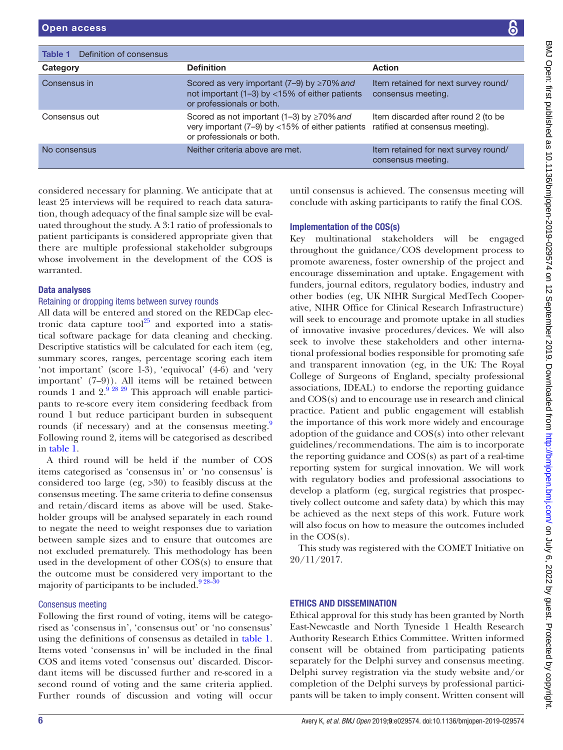<span id="page-5-0"></span>

| Definition of consensus<br>Table 1 |                                                                                                                                    |                                                                        |
|------------------------------------|------------------------------------------------------------------------------------------------------------------------------------|------------------------------------------------------------------------|
| Category                           | <b>Definition</b>                                                                                                                  | <b>Action</b>                                                          |
| Consensus in                       | Scored as very important $(7-9)$ by $\geq 70\%$ and<br>not important (1-3) by <15% of either patients<br>or professionals or both. | Item retained for next survey round/<br>consensus meeting.             |
| Consensus out                      | Scored as not important (1–3) by $\geq$ 70% and<br>very important (7-9) by <15% of either patients<br>or professionals or both.    | Item discarded after round 2 (to be<br>ratified at consensus meeting). |
| No consensus                       | Neither criteria above are met.                                                                                                    | Item retained for next survey round/<br>consensus meeting.             |

considered necessary for planning. We anticipate that at least 25 interviews will be required to reach data saturation, though adequacy of the final sample size will be evaluated throughout the study. A 3:1 ratio of professionals to patient participants is considered appropriate given that there are multiple professional stakeholder subgroups whose involvement in the development of the COS is warranted.

#### Data analyses

### Retaining or dropping items between survey rounds

All data will be entered and stored on the REDCap electronic data capture tool $^{25}$  and exported into a statistical software package for data cleaning and checking. Descriptive statistics will be calculated for each item (eg, summary scores, ranges, percentage scoring each item 'not important' (score 1-3), 'equivocal' (4-6) and 'very important' (7–9)). All items will be retained between rounds 1 and  $2^{9.28.29}$  This approach will enable participants to re-score every item considering feedback from round 1 but reduce participant burden in subsequent rounds (if necessary) and at the consensus meeting.<sup>[9](#page-6-6)</sup> Following round 2, items will be categorised as described in [table](#page-5-0) 1.

A third round will be held if the number of COS items categorised as 'consensus in' or 'no consensus' is considered too large (eg, >30) to feasibly discuss at the consensus meeting. The same criteria to define consensus and retain/discard items as above will be used. Stakeholder groups will be analysed separately in each round to negate the need to weight responses due to variation between sample sizes and to ensure that outcomes are not excluded prematurely. This methodology has been used in the development of other COS(s) to ensure that the outcome must be considered very important to the majority of participants to be included. $928-30$ 

#### Consensus meeting

Following the first round of voting, items will be categorised as 'consensus in', 'consensus out' or 'no consensus' using the definitions of consensus as detailed in [table](#page-5-0) 1. Items voted 'consensus in' will be included in the final COS and items voted 'consensus out' discarded. Discordant items will be discussed further and re-scored in a second round of voting and the same criteria applied. Further rounds of discussion and voting will occur until consensus is achieved. The consensus meeting will conclude with asking participants to ratify the final COS.

#### Implementation of the COS(s)

Key multinational stakeholders will be engaged throughout the guidance/COS development process to promote awareness, foster ownership of the project and encourage dissemination and uptake. Engagement with funders, journal editors, regulatory bodies, industry and other bodies (eg, UK NIHR Surgical MedTech Cooperative, NIHR Office for Clinical Research Infrastructure) will seek to encourage and promote uptake in all studies of innovative invasive procedures/devices. We will also seek to involve these stakeholders and other international professional bodies responsible for promoting safe and transparent innovation (eg, in the UK: The Royal College of Surgeons of England, specialty professional associations, IDEAL) to endorse the reporting guidance and COS(s) and to encourage use in research and clinical practice. Patient and public engagement will establish the importance of this work more widely and encourage adoption of the guidance and COS(s) into other relevant guidelines/recommendations. The aim is to incorporate the reporting guidance and COS(s) as part of a real-time reporting system for surgical innovation. We will work with regulatory bodies and professional associations to develop a platform (eg, surgical registries that prospectively collect outcome and safety data) by which this may be achieved as the next steps of this work. Future work will also focus on how to measure the outcomes included in the COS(s).

This study was registered with the COMET Initiative on 20/11/2017.

# Ethics and dissemination

Ethical approval for this study has been granted by North East-Newcastle and North Tyneside 1 Health Research Authority Research Ethics Committee. Written informed consent will be obtained from participating patients separately for the Delphi survey and consensus meeting. Delphi survey registration via the study website and/or completion of the Delphi surveys by professional participants will be taken to imply consent. Written consent will